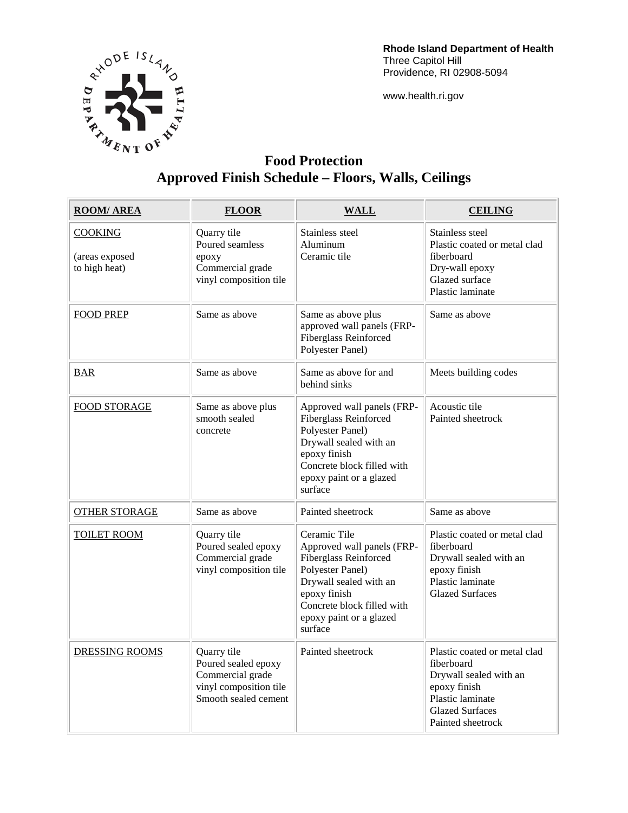

**Rhode Island Department of Health**  Three Capitol Hill Providence, RI 02908-5094

www.health.ri.gov

## **Food Protection Approved Finish Schedule – Floors, Walls, Ceilings**

| <b>ROOM/AREA</b>                                  | <b>FLOOR</b>                                                                                             | <b>WALL</b>                                                                                                                                                                                           | <b>CEILING</b>                                                                                                                                          |
|---------------------------------------------------|----------------------------------------------------------------------------------------------------------|-------------------------------------------------------------------------------------------------------------------------------------------------------------------------------------------------------|---------------------------------------------------------------------------------------------------------------------------------------------------------|
| <b>COOKING</b><br>(areas exposed<br>to high heat) | Quarry tile<br>Poured seamless<br>epoxy<br>Commercial grade<br>vinyl composition tile                    | Stainless steel<br>Aluminum<br>Ceramic tile                                                                                                                                                           | Stainless steel<br>Plastic coated or metal clad<br>fiberboard<br>Dry-wall epoxy<br>Glazed surface<br>Plastic laminate                                   |
| <b>FOOD PREP</b>                                  | Same as above                                                                                            | Same as above plus<br>approved wall panels (FRP-<br><b>Fiberglass Reinforced</b><br>Polyester Panel)                                                                                                  | Same as above                                                                                                                                           |
| <b>BAR</b>                                        | Same as above                                                                                            | Same as above for and<br>behind sinks                                                                                                                                                                 | Meets building codes                                                                                                                                    |
| <b>FOOD STORAGE</b>                               | Same as above plus<br>smooth sealed<br>concrete                                                          | Approved wall panels (FRP-<br><b>Fiberglass Reinforced</b><br>Polyester Panel)<br>Drywall sealed with an<br>epoxy finish<br>Concrete block filled with<br>epoxy paint or a glazed<br>surface          | Acoustic tile<br>Painted sheetrock                                                                                                                      |
| <b>OTHER STORAGE</b>                              | Same as above                                                                                            | Painted sheetrock                                                                                                                                                                                     | Same as above                                                                                                                                           |
| <b>TOILET ROOM</b>                                | Quarry tile<br>Poured sealed epoxy<br>Commercial grade<br>vinyl composition tile                         | Ceramic Tile<br>Approved wall panels (FRP-<br>Fiberglass Reinforced<br>Polyester Panel)<br>Drywall sealed with an<br>epoxy finish<br>Concrete block filled with<br>epoxy paint or a glazed<br>surface | Plastic coated or metal clad<br>fiberboard<br>Drywall sealed with an<br>epoxy finish<br>Plastic laminate<br><b>Glazed Surfaces</b>                      |
| <b>DRESSING ROOMS</b>                             | Quarry tile<br>Poured sealed epoxy<br>Commercial grade<br>vinyl composition tile<br>Smooth sealed cement | Painted sheetrock                                                                                                                                                                                     | Plastic coated or metal clad<br>fiberboard<br>Drywall sealed with an<br>epoxy finish<br>Plastic laminate<br><b>Glazed Surfaces</b><br>Painted sheetrock |